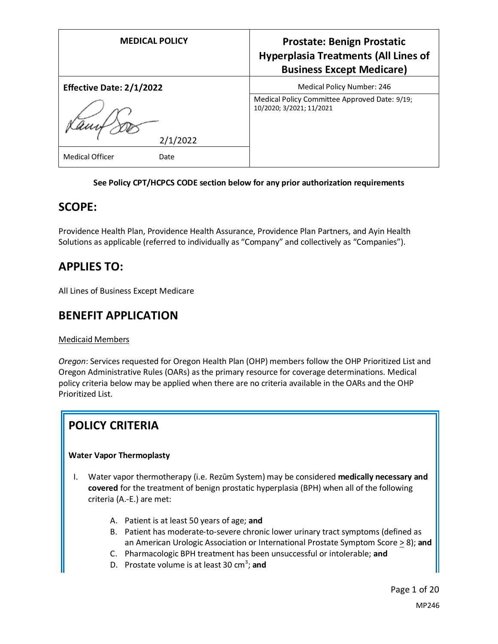| <b>MEDICAL POLICY</b>           | <b>Prostate: Benign Prostatic</b><br><b>Hyperplasia Treatments (All Lines of</b><br><b>Business Except Medicare)</b> |
|---------------------------------|----------------------------------------------------------------------------------------------------------------------|
| <b>Effective Date: 2/1/2022</b> | Medical Policy Number: 246                                                                                           |
| 2/1/2022                        | Medical Policy Committee Approved Date: 9/19;<br>10/2020; 3/2021; 11/2021                                            |
| <b>Medical Officer</b><br>Date  |                                                                                                                      |

### **See Policy CPT/HCPCS CODE section below for any prior authorization requirements**

# **SCOPE:**

Providence Health Plan, Providence Health Assurance, Providence Plan Partners, and Ayin Health Solutions as applicable (referred to individually as "Company" and collectively as "Companies").

# **APPLIES TO:**

All Lines of Business Except Medicare

# **BENEFIT APPLICATION**

#### Medicaid Members

*Oregon*: Services requested for Oregon Health Plan (OHP) members follow the OHP Prioritized List and Oregon Administrative Rules (OARs) as the primary resource for coverage determinations. Medical policy criteria below may be applied when there are no criteria available in the OARs and the OHP Prioritized List.

# **POLICY CRITERIA**

### **Water Vapor Thermoplasty**

- I. Water vapor thermotherapy (i.e. Rezūm System) may be considered **medically necessary and covered** for the treatment of benign prostatic hyperplasia (BPH) when all of the following criteria (A.-E.) are met:
	- A. Patient is at least 50 years of age; **and**
	- B. Patient has moderate-to-severe chronic lower urinary tract symptoms (defined as an American Urologic Association or International Prostate Symptom Score > 8); **and**
	- C. Pharmacologic BPH treatment has been unsuccessful or intolerable; **and**
	- D. Prostate volume is at least 30 cm<sup>3</sup>; and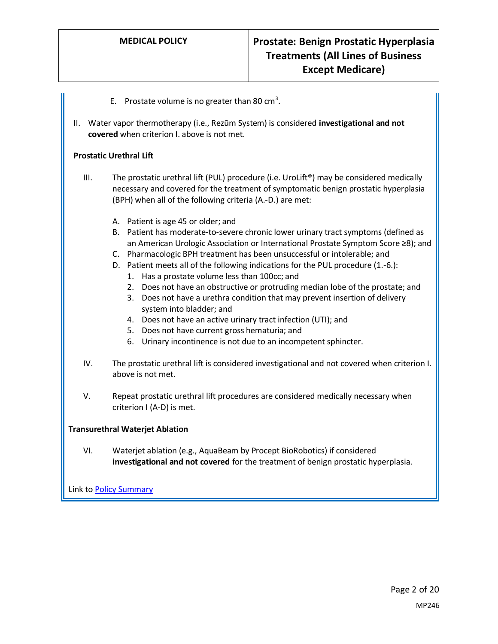- E. Prostate volume is no greater than 80  $cm<sup>3</sup>$ .
- II. Water vapor thermotherapy (i.e., Rezūm System) is considered **investigational and not covered** when criterion I. above is not met.

#### **Prostatic Urethral Lift**

- III. The prostatic urethral lift (PUL) procedure (i.e. UroLift®) may be considered medically necessary and covered for the treatment of symptomatic benign prostatic hyperplasia (BPH) when all of the following criteria (A.-D.) are met:
	- A. Patient is age 45 or older; and
	- B. Patient has moderate-to-severe chronic lower urinary tract symptoms (defined as an American Urologic Association or International Prostate Symptom Score ≥8); and
	- C. Pharmacologic BPH treatment has been unsuccessful or intolerable; and
	- D. Patient meets all of the following indications for the PUL procedure (1.-6.):
		- 1. Has a prostate volume less than 100cc; and
		- 2. Does not have an obstructive or protruding median lobe of the prostate; and
		- 3. Does not have a urethra condition that may prevent insertion of delivery system into bladder; and
		- 4. Does not have an active urinary tract infection (UTI); and
		- 5. Does not have current gross hematuria; and
		- 6. Urinary incontinence is not due to an incompetent sphincter.
- IV. The prostatic urethral lift is considered investigational and not covered when criterion I. above is not met.
- V. Repeat prostatic urethral lift procedures are considered medically necessary when criterion I (A-D) is met.

### **Transurethral Waterjet Ablation**

VI. Waterjet ablation (e.g., AquaBeam by Procept BioRobotics) if considered **investigational and not covered** for the treatment of benign prostatic hyperplasia.

Link t[o Policy Summary](#page-13-0)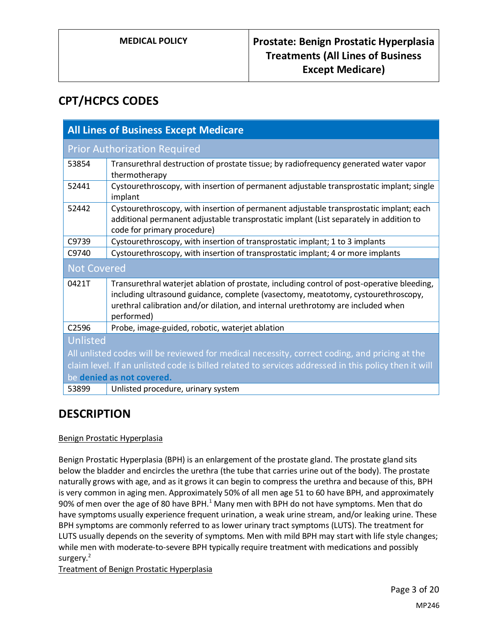# **CPT/HCPCS CODES**

| <b>All Lines of Business Except Medicare</b>                                                         |                                                                                                                                                                                                                                                                                   |  |
|------------------------------------------------------------------------------------------------------|-----------------------------------------------------------------------------------------------------------------------------------------------------------------------------------------------------------------------------------------------------------------------------------|--|
| <b>Prior Authorization Required</b>                                                                  |                                                                                                                                                                                                                                                                                   |  |
| 53854                                                                                                | Transurethral destruction of prostate tissue; by radiofrequency generated water vapor<br>thermotherapy                                                                                                                                                                            |  |
| 52441                                                                                                | Cystourethroscopy, with insertion of permanent adjustable transprostatic implant; single<br>implant                                                                                                                                                                               |  |
| 52442                                                                                                | Cystourethroscopy, with insertion of permanent adjustable transprostatic implant; each<br>additional permanent adjustable transprostatic implant (List separately in addition to<br>code for primary procedure)                                                                   |  |
| C9739                                                                                                | Cystourethroscopy, with insertion of transprostatic implant; 1 to 3 implants                                                                                                                                                                                                      |  |
| C9740                                                                                                | Cystourethroscopy, with insertion of transprostatic implant; 4 or more implants                                                                                                                                                                                                   |  |
| <b>Not Covered</b>                                                                                   |                                                                                                                                                                                                                                                                                   |  |
| 0421T                                                                                                | Transurethral waterjet ablation of prostate, including control of post-operative bleeding,<br>including ultrasound guidance, complete (vasectomy, meatotomy, cystourethroscopy,<br>urethral calibration and/or dilation, and internal urethrotomy are included when<br>performed) |  |
| C <sub>2596</sub>                                                                                    | Probe, image-guided, robotic, waterjet ablation                                                                                                                                                                                                                                   |  |
| Unlisted                                                                                             |                                                                                                                                                                                                                                                                                   |  |
| All unlisted codes will be reviewed for medical necessity, correct coding, and pricing at the        |                                                                                                                                                                                                                                                                                   |  |
| claim level. If an unlisted code is billed related to services addressed in this policy then it will |                                                                                                                                                                                                                                                                                   |  |
| be denied as not covered.                                                                            |                                                                                                                                                                                                                                                                                   |  |
| 53899                                                                                                | Unlisted procedure, urinary system                                                                                                                                                                                                                                                |  |

# **DESCRIPTION**

### Benign Prostatic Hyperplasia

Benign Prostatic Hyperplasia (BPH) is an enlargement of the prostate gland. The prostate gland sits below the bladder and encircles the urethra (the tube that carries urine out of the body). The prostate naturally grows with age, and as it grows it can begin to compress the urethra and because of this, BPH is very common in aging men. Approximately 50% of all men age 51 to 60 have BPH, and approximately 90% of men over the age of 80 have BPH.<sup>1</sup> Many men with BPH do not have symptoms. Men that do have symptoms usually experience frequent urination, a weak urine stream, and/or leaking urine. These BPH symptoms are commonly referred to as lower urinary tract symptoms (LUTS). The treatment for LUTS usually depends on the severity of symptoms. Men with mild BPH may start with life style changes; while men with moderate-to-severe BPH typically require treatment with medications and possibly surgery.<sup>2</sup>

Treatment of Benign Prostatic Hyperplasia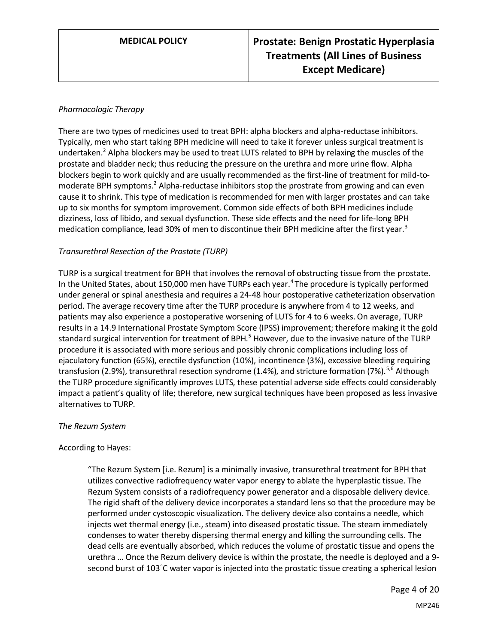### *Pharmacologic Therapy*

There are two types of medicines used to treat BPH: alpha blockers and alpha-reductase inhibitors. Typically, men who start taking BPH medicine will need to take it forever unless surgical treatment is undertaken.<sup>2</sup> Alpha blockers may be used to treat LUTS related to BPH by relaxing the muscles of the prostate and bladder neck; thus reducing the pressure on the urethra and more urine flow. Alpha blockers begin to work quickly and are usually recommended as the first-line of treatment for mild-tomoderate BPH symptoms.<sup>2</sup> Alpha-reductase inhibitors stop the prostrate from growing and can even cause it to shrink. This type of medication is recommended for men with larger prostates and can take up to six months for symptom improvement. Common side effects of both BPH medicines include dizziness, loss of libido, and sexual dysfunction. These side effects and the need for life-long BPH medication compliance, lead 30% of men to discontinue their BPH medicine after the first year.<sup>3</sup>

### *Transurethral Resection of the Prostate (TURP)*

TURP is a surgical treatment for BPH that involves the removal of obstructing tissue from the prostate. In the United States, about 150,000 men have TURPs each year.<sup>4</sup> The procedure is typically performed under general or spinal anesthesia and requires a 24-48 hour postoperative catheterization observation period. The average recovery time after the TURP procedure is anywhere from 4 to 12 weeks, and patients may also experience a postoperative worsening of LUTS for 4 to 6 weeks. On average, TURP results in a 14.9 International Prostate Symptom Score (IPSS) improvement; therefore making it the gold standard surgical intervention for treatment of BPH.<sup>5</sup> However, due to the invasive nature of the TURP procedure it is associated with more serious and possibly chronic complications including loss of ejaculatory function (65%), erectile dysfunction (10%), incontinence (3%), excessive bleeding requiring transfusion (2.9%), transurethral resection syndrome (1.4%), and stricture formation (7%).<sup>5,6</sup> Although the TURP procedure significantly improves LUTS, these potential adverse side effects could considerably impact a patient's quality of life; therefore, new surgical techniques have been proposed as less invasive alternatives to TURP.

### *The Rezum System*

### According to Hayes:

"The Rezum System [i.e. Rezum] is a minimally invasive, transurethral treatment for BPH that utilizes convective radiofrequency water vapor energy to ablate the hyperplastic tissue. The Rezum System consists of a radiofrequency power generator and a disposable delivery device. The rigid shaft of the delivery device incorporates a standard lens so that the procedure may be performed under cystoscopic visualization. The delivery device also contains a needle, which injects wet thermal energy (i.e., steam) into diseased prostatic tissue. The steam immediately condenses to water thereby dispersing thermal energy and killing the surrounding cells. The dead cells are eventually absorbed, which reduces the volume of prostatic tissue and opens the urethra … Once the Rezum delivery device is within the prostate, the needle is deployed and a 9 second burst of 103˚C water vapor is injected into the prostatic tissue creating a spherical lesion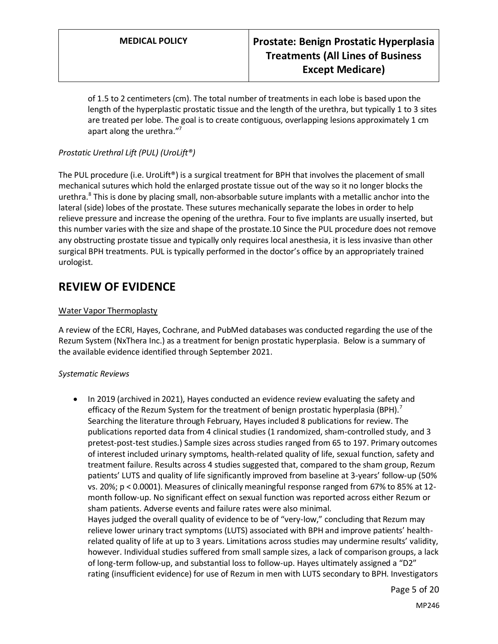of 1.5 to 2 centimeters (cm). The total number of treatments in each lobe is based upon the length of the hyperplastic prostatic tissue and the length of the urethra, but typically 1 to 3 sites are treated per lobe. The goal is to create contiguous, overlapping lesions approximately 1 cm apart along the urethra."<sup>7</sup>

## *Prostatic Urethral Lift (PUL) (UroLift®)*

The PUL procedure (i.e. UroLift<sup>®</sup>) is a surgical treatment for BPH that involves the placement of small mechanical sutures which hold the enlarged prostate tissue out of the way so it no longer blocks the urethra.<sup>8</sup> This is done by placing small, non-absorbable suture implants with a metallic anchor into the lateral (side) lobes of the prostate. These sutures mechanically separate the lobes in order to help relieve pressure and increase the opening of the urethra. Four to five implants are usually inserted, but this number varies with the size and shape of the prostate.10 Since the PUL procedure does not remove any obstructing prostate tissue and typically only requires local anesthesia, it is less invasive than other surgical BPH treatments. PUL is typically performed in the doctor's office by an appropriately trained urologist.

# **REVIEW OF EVIDENCE**

### Water Vapor Thermoplasty

A review of the ECRI, Hayes, Cochrane, and PubMed databases was conducted regarding the use of the Rezum System (NxThera Inc.) as a treatment for benign prostatic hyperplasia. Below is a summary of the available evidence identified through September 2021.

### *Systematic Reviews*

• In 2019 (archived in 2021), Hayes conducted an evidence review evaluating the safety and efficacy of the Rezum System for the treatment of benign prostatic hyperplasia (BPH).<sup>7</sup> Searching the literature through February, Hayes included 8 publications for review. The publications reported data from 4 clinical studies (1 randomized, sham-controlled study, and 3 pretest-post-test studies.) Sample sizes across studies ranged from 65 to 197. Primary outcomes of interest included urinary symptoms, health-related quality of life, sexual function, safety and treatment failure. Results across 4 studies suggested that, compared to the sham group, Rezum patients' LUTS and quality of life significantly improved from baseline at 3-years' follow-up (50% vs. 20%; p < 0.0001). Measures of clinically meaningful response ranged from 67% to 85% at 12 month follow-up. No significant effect on sexual function was reported across either Rezum or sham patients. Adverse events and failure rates were also minimal. Hayes judged the overall quality of evidence to be of "very-low," concluding that Rezum may relieve lower urinary tract symptoms (LUTS) associated with BPH and improve patients' healthrelated quality of life at up to 3 years. Limitations across studies may undermine results' validity, however. Individual studies suffered from small sample sizes, a lack of comparison groups, a lack of long-term follow-up, and substantial loss to follow-up. Hayes ultimately assigned a "D2" rating (insufficient evidence) for use of Rezum in men with LUTS secondary to BPH. Investigators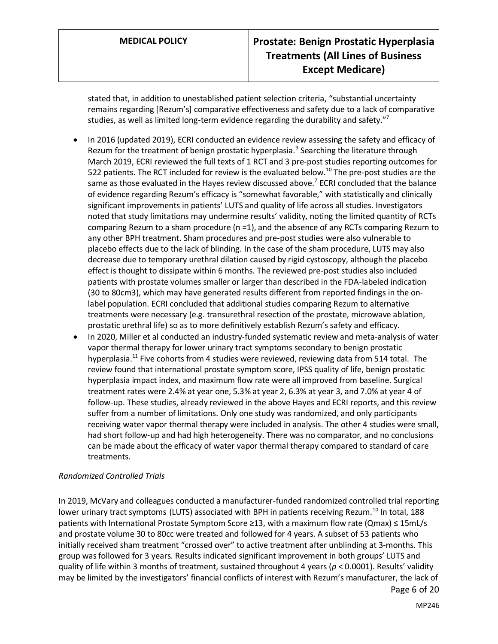stated that, in addition to unestablished patient selection criteria, "substantial uncertainty remains regarding [Rezum's] comparative effectiveness and safety due to a lack of comparative studies, as well as limited long-term evidence regarding the durability and safety."<sup>7</sup>

- In 2016 (updated 2019), ECRI conducted an evidence review assessing the safety and efficacy of Rezum for the treatment of benign prostatic hyperplasia.<sup>9</sup> Searching the literature through March 2019, ECRI reviewed the full texts of 1 RCT and 3 pre-post studies reporting outcomes for 522 patients. The RCT included for review is the evaluated below.<sup>10</sup> The pre-post studies are the same as those evaluated in the Hayes review discussed above.<sup>7</sup> ECRI concluded that the balance of evidence regarding Rezum's efficacy is "somewhat favorable," with statistically and clinically significant improvements in patients' LUTS and quality of life across all studies. Investigators noted that study limitations may undermine results' validity, noting the limited quantity of RCTs comparing Rezum to a sham procedure (n =1), and the absence of any RCTs comparing Rezum to any other BPH treatment. Sham procedures and pre-post studies were also vulnerable to placebo effects due to the lack of blinding. In the case of the sham procedure, LUTS may also decrease due to temporary urethral dilation caused by rigid cystoscopy, although the placebo effect is thought to dissipate within 6 months. The reviewed pre-post studies also included patients with prostate volumes smaller or larger than described in the FDA-labeled indication (30 to 80cm3), which may have generated results different from reported findings in the onlabel population. ECRI concluded that additional studies comparing Rezum to alternative treatments were necessary (e.g. transurethral resection of the prostate, microwave ablation, prostatic urethral life) so as to more definitively establish Rezum's safety and efficacy.
- In 2020, Miller et al conducted an industry-funded systematic review and meta-analysis of water vapor thermal therapy for lower urinary tract symptoms secondary to benign prostatic hyperplasia.<sup>11</sup> Five cohorts from 4 studies were reviewed, reviewing data from 514 total. The review found that international prostate symptom score, IPSS quality of life, benign prostatic hyperplasia impact index, and maximum flow rate were all improved from baseline. Surgical treatment rates were 2.4% at year one, 5.3% at year 2, 6.3% at year 3, and 7.0% at year 4 of follow-up. These studies, already reviewed in the above Hayes and ECRI reports, and this review suffer from a number of limitations. Only one study was randomized, and only participants receiving water vapor thermal therapy were included in analysis. The other 4 studies were small, had short follow-up and had high heterogeneity. There was no comparator, and no conclusions can be made about the efficacy of water vapor thermal therapy compared to standard of care treatments.

### *Randomized Controlled Trials*

Page 6 of 20 In 2019, McVary and colleagues conducted a manufacturer-funded randomized controlled trial reporting lower urinary tract symptoms (LUTS) associated with BPH in patients receiving Rezum.<sup>10</sup> In total, 188 patients with International Prostate Symptom Score ≥13, with a maximum flow rate (Qmax) ≤ 15mL/s and prostate volume 30 to 80cc were treated and followed for 4 years. A subset of 53 patients who initially received sham treatment "crossed over" to active treatment after unblinding at 3-months. This group wasfollowed for 3 years. Results indicated significant improvement in both groups' LUTS and quality of life within 3 months of treatment, sustained throughout 4 years (*p* < 0.0001). Results' validity may be limited by the investigators' financial conflicts of interest with Rezum's manufacturer, the lack of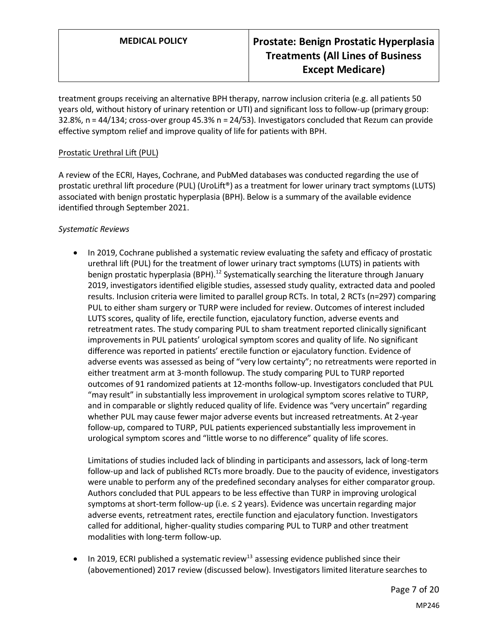treatment groups receiving an alternative BPH therapy, narrow inclusion criteria (e.g. all patients 50 years old, without history of urinary retention or UTI) and significant loss to follow-up (primary group: 32.8%, n = 44/134; cross-over group 45.3% n = 24/53). Investigators concluded that Rezum can provide effective symptom relief and improve quality of life for patients with BPH.

### Prostatic Urethral Lift (PUL)

A review of the ECRI, Hayes, Cochrane, and PubMed databases was conducted regarding the use of prostatic urethral lift procedure (PUL) (UroLift®) as a treatment for lower urinary tract symptoms (LUTS) associated with benign prostatic hyperplasia (BPH). Below is a summary of the available evidence identified through September 2021.

### *Systematic Reviews*

• In 2019, Cochrane published a systematic review evaluating the safety and efficacy of prostatic urethral lift (PUL) for the treatment of lower urinary tract symptoms (LUTS) in patients with benign prostatic hyperplasia (BPH).<sup>12</sup> Systematically searching the literature through January 2019, investigators identified eligible studies, assessed study quality, extracted data and pooled results. Inclusion criteria were limited to parallel group RCTs. In total, 2 RCTs (n=297) comparing PUL to either sham surgery or TURP were included for review. Outcomes of interest included LUTS scores, quality of life, erectile function, ejaculatory function, adverse events and retreatment rates. The study comparing PUL to sham treatment reported clinically significant improvements in PUL patients' urological symptom scores and quality of life. No significant difference was reported in patients' erectile function or ejaculatory function. Evidence of adverse events was assessed as being of "very low certainty"; no retreatments were reported in either treatment arm at 3-month followup. The study comparing PUL to TURP reported outcomes of 91 randomized patients at 12-months follow-up. Investigators concluded that PUL "may result" in substantially less improvement in urological symptom scores relative to TURP, and in comparable or slightly reduced quality of life. Evidence was "very uncertain" regarding whether PUL may cause fewer major adverse events but increased retreatments. At 2-year follow-up, compared to TURP, PUL patients experienced substantially less improvement in urological symptom scores and "little worse to no difference" quality of life scores.

Limitations of studies included lack of blinding in participants and assessors, lack of long-term follow-up and lack of published RCTs more broadly. Due to the paucity of evidence, investigators were unable to perform any of the predefined secondary analyses for either comparator group. Authors concluded that PUL appears to be less effective than TURP in improving urological symptoms at short-term follow-up (i.e. ≤ 2 years). Evidence was uncertain regarding major adverse events, retreatment rates, erectile function and ejaculatory function. Investigators called for additional, higher-quality studies comparing PUL to TURP and other treatment modalities with long-term follow-up.

In 2019, ECRI published a systematic review<sup>13</sup> assessing evidence published since their (abovementioned) 2017 review (discussed below). Investigators limited literature searches to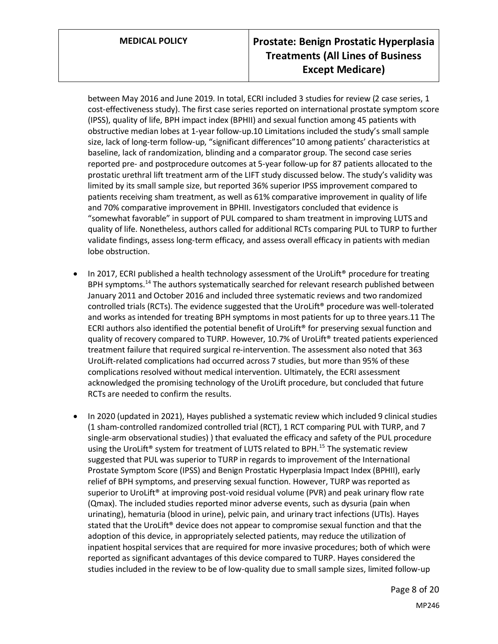between May 2016 and June 2019. In total, ECRI included 3 studies for review (2 case series, 1 cost-effectiveness study). The first case series reported on international prostate symptom score (IPSS), quality of life, BPH impact index (BPHII) and sexual function among 45 patients with obstructive median lobes at 1-year follow-up.10 Limitations included the study's small sample size, lack of long-term follow-up, "significant differences"10 among patients' characteristics at baseline, lack of randomization, blinding and a comparator group. The second case series reported pre- and postprocedure outcomes at 5-year follow-up for 87 patients allocated to the prostatic urethral lift treatment arm of the LIFT study discussed below. The study's validity was limited by its small sample size, but reported 36% superior IPSS improvement compared to patients receiving sham treatment, as well as 61% comparative improvement in quality of life and 70% comparative improvement in BPHII. Investigators concluded that evidence is "somewhat favorable" in support of PUL compared to sham treatment in improving LUTS and quality of life. Nonetheless, authors called for additional RCTs comparing PUL to TURP to further validate findings, assess long-term efficacy, and assess overall efficacy in patients with median lobe obstruction.

- In 2017, ECRI published a health technology assessment of the UroLift<sup>®</sup> procedure for treating BPH symptoms.<sup>14</sup> The authors systematically searched for relevant research published between January 2011 and October 2016 and included three systematic reviews and two randomized controlled trials (RCTs). The evidence suggested that the UroLift® procedure was well-tolerated and works as intended for treating BPH symptoms in most patients for up to three years.11 The ECRI authors also identified the potential benefit of UroLift<sup>®</sup> for preserving sexual function and quality of recovery compared to TURP. However, 10.7% of UroLift® treated patients experienced treatment failure that required surgical re-intervention. The assessment also noted that 363 UroLift-related complications had occurred across 7 studies, but more than 95% of these complications resolved without medical intervention. Ultimately, the ECRI assessment acknowledged the promising technology of the UroLift procedure, but concluded that future RCTs are needed to confirm the results.
- In 2020 (updated in 2021), Hayes published a systematic review which included 9 clinical studies (1 sham-controlled randomized controlled trial (RCT), 1 RCT comparing PUL with TURP, and 7 single-arm observational studies) ) that evaluated the efficacy and safety of the PUL procedure using the UroLift<sup>®</sup> system for treatment of LUTS related to BPH.<sup>15</sup> The systematic review suggested that PUL was superior to TURP in regards to improvement of the International Prostate Symptom Score (IPSS) and Benign Prostatic Hyperplasia Impact Index (BPHII), early relief of BPH symptoms, and preserving sexual function. However, TURP was reported as superior to UroLift<sup>®</sup> at improving post-void residual volume (PVR) and peak urinary flow rate (Qmax). The included studies reported minor adverse events, such as dysuria (pain when urinating), hematuria (blood in urine), pelvic pain, and urinary tract infections (UTIs). Hayes stated that the UroLift® device does not appear to compromise sexual function and that the adoption of this device, in appropriately selected patients, may reduce the utilization of inpatient hospital services that are required for more invasive procedures; both of which were reported as significant advantages of this device compared to TURP. Hayes considered the studies included in the review to be of low-quality due to small sample sizes, limited follow-up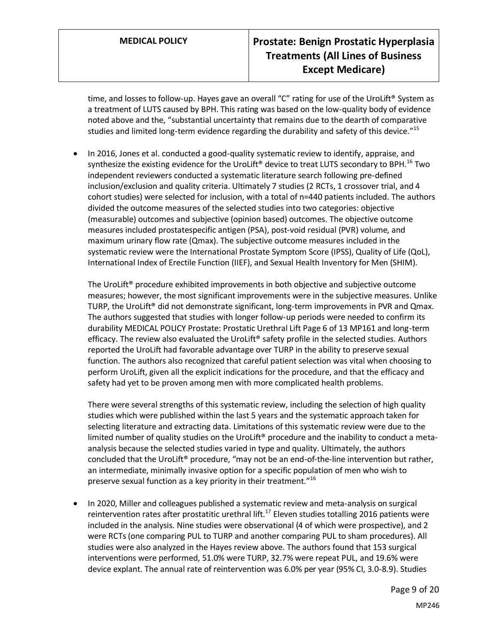time, and losses to follow-up. Hayes gave an overall "C" rating for use of the UroLift® System as a treatment of LUTS caused by BPH. This rating was based on the low-quality body of evidence noted above and the, "substantial uncertainty that remains due to the dearth of comparative studies and limited long-term evidence regarding the durability and safety of this device."<sup>15</sup>

• In 2016, Jones et al. conducted a good-quality systematic review to identify, appraise, and synthesize the existing evidence for the UroLift<sup>®</sup> device to treat LUTS secondary to BPH.<sup>16</sup> Two independent reviewers conducted a systematic literature search following pre-defined inclusion/exclusion and quality criteria. Ultimately 7 studies (2 RCTs, 1 crossover trial, and 4 cohort studies) were selected for inclusion, with a total of n=440 patients included. The authors divided the outcome measures of the selected studies into two categories: objective (measurable) outcomes and subjective (opinion based) outcomes. The objective outcome measures included prostatespecific antigen (PSA), post-void residual (PVR) volume, and maximum urinary flow rate (Qmax). The subjective outcome measures included in the systematic review were the International Prostate Symptom Score (IPSS), Quality of Life (QoL), International Index of Erectile Function (IIEF), and Sexual Health Inventory for Men (SHIM).

The UroLift® procedure exhibited improvements in both objective and subjective outcome measures; however, the most significant improvements were in the subjective measures. Unlike TURP, the UroLift® did not demonstrate significant, long-term improvements in PVR and Qmax. The authors suggested that studies with longer follow-up periods were needed to confirm its durability MEDICAL POLICY Prostate: Prostatic Urethral Lift Page 6 of 13 MP161 and long-term efficacy. The review also evaluated the UroLift® safety profile in the selected studies. Authors reported the UroLift had favorable advantage over TURP in the ability to preserve sexual function. The authors also recognized that careful patient selection was vital when choosing to perform UroLift, given all the explicit indications for the procedure, and that the efficacy and safety had yet to be proven among men with more complicated health problems.

There were several strengths of this systematic review, including the selection of high quality studies which were published within the last 5 years and the systematic approach taken for selecting literature and extracting data. Limitations of this systematic review were due to the limited number of quality studies on the UroLift<sup>®</sup> procedure and the inability to conduct a metaanalysis because the selected studies varied in type and quality. Ultimately, the authors concluded that the UroLift® procedure, "may not be an end-of-the-line intervention but rather, an intermediate, minimally invasive option for a specific population of men who wish to preserve sexual function as a key priority in their treatment."<sup>16</sup>

• In 2020, Miller and colleagues published a systematic review and meta-analysis on surgical reintervention rates after prostatitic urethral lift.<sup>17</sup> Eleven studies totalling 2016 patients were included in the analysis. Nine studies were observational (4 of which were prospective), and 2 were RCTs (one comparing PUL to TURP and another comparing PUL to sham procedures). All studies were also analyzed in the Hayes review above. The authors found that 153 surgical interventions were performed, 51.0% were TURP, 32.7% were repeat PUL, and 19.6% were device explant. The annual rate of reintervention was 6.0% per year (95% CI, 3.0-8.9). Studies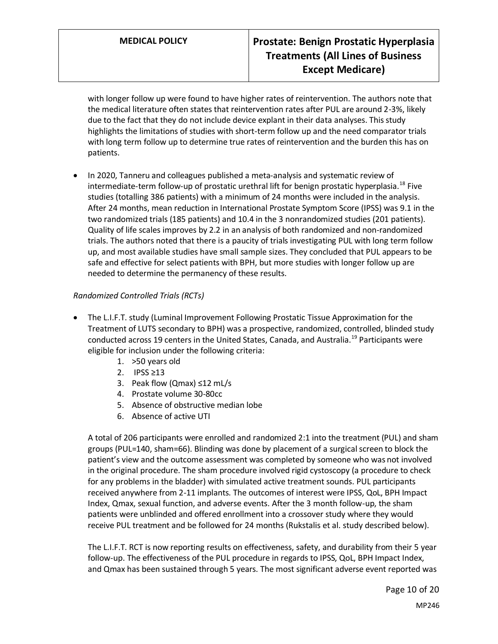with longer follow up were found to have higher rates of reintervention. The authors note that the medical literature often states that reintervention rates after PUL are around 2-3%, likely due to the fact that they do not include device explant in their data analyses. This study highlights the limitations of studies with short-term follow up and the need comparator trials with long term follow up to determine true rates of reintervention and the burden this has on patients.

• In 2020, Tanneru and colleagues published a meta-analysis and systematic review of intermediate-term follow-up of prostatic urethral lift for benign prostatic hyperplasia.<sup>18</sup> Five studies (totalling 386 patients) with a minimum of 24 months were included in the analysis. After 24 months, mean reduction in International Prostate Symptom Score (IPSS) was 9.1 in the two randomized trials (185 patients) and 10.4 in the 3 nonrandomized studies (201 patients). Quality of life scales improves by 2.2 in an analysis of both randomized and non-randomized trials. The authors noted that there is a paucity of trials investigating PUL with long term follow up, and most available studies have small sample sizes. They concluded that PUL appears to be safe and effective for select patients with BPH, but more studies with longer follow up are needed to determine the permanency of these results.

## *Randomized Controlled Trials (RCTs)*

- The L.I.F.T. study (Luminal Improvement Following Prostatic Tissue Approximation for the Treatment of LUTS secondary to BPH) was a prospective, randomized, controlled, blinded study conducted across 19 centers in the United States, Canada, and Australia.<sup>19</sup> Participants were eligible for inclusion under the following criteria:
	- 1. >50 years old
	- 2. IPSS ≥13
	- 3. Peak flow (Qmax) ≤12 mL/s
	- 4. Prostate volume 30-80cc
	- 5. Absence of obstructive median lobe
	- 6. Absence of active UTI

A total of 206 participants were enrolled and randomized 2:1 into the treatment (PUL) and sham groups (PUL=140, sham=66). Blinding was done by placement of a surgical screen to block the patient's view and the outcome assessment was completed by someone who was not involved in the original procedure. The sham procedure involved rigid cystoscopy (a procedure to check for any problems in the bladder) with simulated active treatment sounds. PUL participants received anywhere from 2-11 implants. The outcomes of interest were IPSS, QoL, BPH Impact Index, Qmax, sexual function, and adverse events. After the 3 month follow-up, the sham patients were unblinded and offered enrollment into a crossover study where they would receive PUL treatment and be followed for 24 months (Rukstalis et al. study described below).

The L.I.F.T. RCT is now reporting results on effectiveness, safety, and durability from their 5 year follow-up. The effectiveness of the PUL procedure in regards to IPSS, QoL, BPH Impact Index, and Qmax has been sustained through 5 years. The most significant adverse event reported was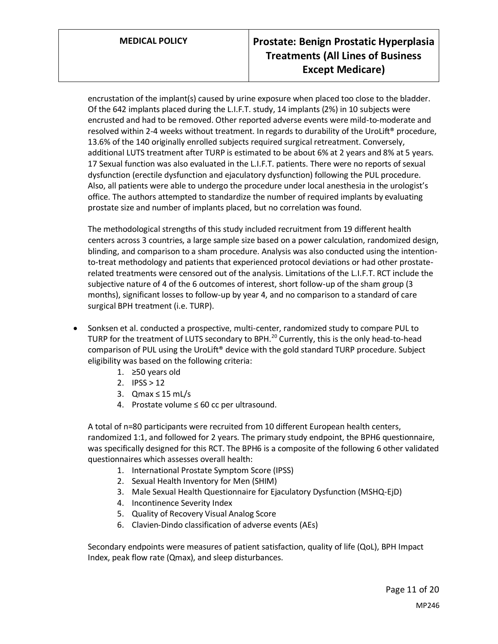encrustation of the implant(s) caused by urine exposure when placed too close to the bladder. Of the 642 implants placed during the L.I.F.T. study, 14 implants (2%) in 10 subjects were encrusted and had to be removed. Other reported adverse events were mild-to-moderate and resolved within 2-4 weeks without treatment. In regards to durability of the UroLift® procedure, 13.6% of the 140 originally enrolled subjects required surgical retreatment. Conversely, additional LUTS treatment after TURP is estimated to be about 6% at 2 years and 8% at 5 years. 17 Sexual function was also evaluated in the L.I.F.T. patients. There were no reports of sexual dysfunction (erectile dysfunction and ejaculatory dysfunction) following the PUL procedure. Also, all patients were able to undergo the procedure under local anesthesia in the urologist's office. The authors attempted to standardize the number of required implants by evaluating prostate size and number of implants placed, but no correlation was found.

The methodological strengths of this study included recruitment from 19 different health centers across 3 countries, a large sample size based on a power calculation, randomized design, blinding, and comparison to a sham procedure. Analysis was also conducted using the intentionto-treat methodology and patients that experienced protocol deviations or had other prostaterelated treatments were censored out of the analysis. Limitations of the L.I.F.T. RCT include the subjective nature of 4 of the 6 outcomes of interest, short follow-up of the sham group (3 months), significant losses to follow-up by year 4, and no comparison to a standard of care surgical BPH treatment (i.e. TURP).

- Sonksen et al. conducted a prospective, multi-center, randomized study to compare PUL to TURP for the treatment of LUTS secondary to BPH.<sup>20</sup> Currently, this is the only head-to-head comparison of PUL using the UroLift® device with the gold standard TURP procedure. Subject eligibility was based on the following criteria:
	- 1. ≥50 years old
	- 2. IPSS > 12
	- 3. Qmax ≤ 15 mL/s
	- 4. Prostate volume ≤ 60 cc per ultrasound.

A total of n=80 participants were recruited from 10 different European health centers, randomized 1:1, and followed for 2 years. The primary study endpoint, the BPH6 questionnaire, was specifically designed for this RCT. The BPH6 is a composite of the following 6 other validated questionnaires which assesses overall health:

- 1. International Prostate Symptom Score (IPSS)
- 2. Sexual Health Inventory for Men (SHIM)
- 3. Male Sexual Health Questionnaire for Ejaculatory Dysfunction (MSHQ-EjD)
- 4. Incontinence Severity Index
- 5. Quality of Recovery Visual Analog Score
- 6. Clavien-Dindo classification of adverse events (AEs)

Secondary endpoints were measures of patient satisfaction, quality of life (QoL), BPH Impact Index, peak flow rate (Qmax), and sleep disturbances.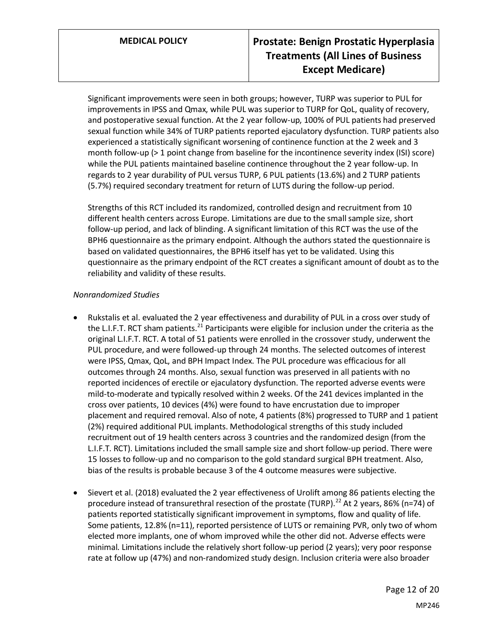Significant improvements were seen in both groups; however, TURP was superior to PUL for improvements in IPSS and Qmax, while PUL was superior to TURP for QoL, quality of recovery, and postoperative sexual function. At the 2 year follow-up, 100% of PUL patients had preserved sexual function while 34% of TURP patients reported ejaculatory dysfunction. TURP patients also experienced a statistically significant worsening of continence function at the 2 week and 3 month follow-up (> 1 point change from baseline for the incontinence severity index (ISI) score) while the PUL patients maintained baseline continence throughout the 2 year follow-up. In regards to 2 year durability of PUL versus TURP, 6 PUL patients (13.6%) and 2 TURP patients (5.7%) required secondary treatment for return of LUTS during the follow-up period.

Strengths of this RCT included its randomized, controlled design and recruitment from 10 different health centers across Europe. Limitations are due to the small sample size, short follow-up period, and lack of blinding. A significant limitation of this RCT was the use of the BPH6 questionnaire as the primary endpoint. Although the authors stated the questionnaire is based on validated questionnaires, the BPH6 itself has yet to be validated. Using this questionnaire as the primary endpoint of the RCT creates a significant amount of doubt as to the reliability and validity of these results.

### *Nonrandomized Studies*

- Rukstalis et al. evaluated the 2 year effectiveness and durability of PUL in a cross over study of the L.I.F.T. RCT sham patients.<sup>21</sup> Participants were eligible for inclusion under the criteria as the original L.I.F.T. RCT. A total of 51 patients were enrolled in the crossover study, underwent the PUL procedure, and were followed-up through 24 months. The selected outcomes of interest were IPSS, Qmax, QoL, and BPH Impact Index. The PUL procedure was efficacious for all outcomes through 24 months. Also, sexual function was preserved in all patients with no reported incidences of erectile or ejaculatory dysfunction. The reported adverse events were mild-to-moderate and typically resolved within 2 weeks. Of the 241 devices implanted in the cross over patients, 10 devices (4%) were found to have encrustation due to improper placement and required removal. Also of note, 4 patients (8%) progressed to TURP and 1 patient (2%) required additional PUL implants. Methodological strengths of this study included recruitment out of 19 health centers across 3 countries and the randomized design (from the L.I.F.T. RCT). Limitations included the small sample size and short follow-up period. There were 15 losses to follow-up and no comparison to the gold standard surgical BPH treatment. Also, bias of the results is probable because 3 of the 4 outcome measures were subjective.
- Sievert et al. (2018) evaluated the 2 year effectiveness of Urolift among 86 patients electing the procedure instead of transurethral resection of the prostate (TURP).<sup>22</sup> At 2 years, 86% (n=74) of patients reported statistically significant improvement in symptoms, flow and quality of life. Some patients, 12.8% (n=11), reported persistence of LUTS or remaining PVR, only two of whom elected more implants, one of whom improved while the other did not. Adverse effects were minimal. Limitations include the relatively short follow-up period (2 years); very poor response rate at follow up (47%) and non-randomized study design. Inclusion criteria were also broader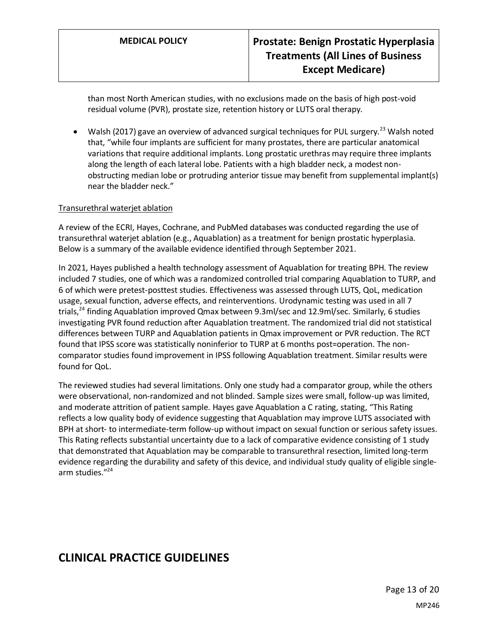than most North American studies, with no exclusions made on the basis of high post-void residual volume (PVR), prostate size, retention history or LUTS oral therapy.

Walsh (2017) gave an overview of advanced surgical techniques for PUL surgery.<sup>23</sup> Walsh noted that, "while four implants are sufficient for many prostates, there are particular anatomical variations that require additional implants. Long prostatic urethras may require three implants along the length of each lateral lobe. Patients with a high bladder neck, a modest nonobstructing median lobe or protruding anterior tissue may benefit from supplemental implant(s) near the bladder neck."

### Transurethral waterjet ablation

A review of the ECRI, Hayes, Cochrane, and PubMed databases was conducted regarding the use of transurethral waterjet ablation (e.g., Aquablation) as a treatment for benign prostatic hyperplasia. Below is a summary of the available evidence identified through September 2021.

In 2021, Hayes published a health technology assessment of Aquablation for treating BPH. The review included 7 studies, one of which was a randomized controlled trial comparing Aquablation to TURP, and 6 of which were pretest-posttest studies. Effectiveness was assessed through LUTS, QoL, medication usage, sexual function, adverse effects, and reinterventions. Urodynamic testing was used in all 7 trials,<sup>24</sup> finding Aquablation improved Qmax between 9.3ml/sec and 12.9ml/sec. Similarly, 6 studies investigating PVR found reduction after Aquablation treatment. The randomized trial did not statistical differences between TURP and Aquablation patients in Qmax improvement or PVR reduction. The RCT found that IPSS score was statistically noninferior to TURP at 6 months post=operation. The noncomparator studies found improvement in IPSS following Aquablation treatment. Similar results were found for QoL.

The reviewed studies had several limitations. Only one study had a comparator group, while the others were observational, non-randomized and not blinded. Sample sizes were small, follow-up was limited, and moderate attrition of patient sample. Hayes gave Aquablation a C rating, stating, "This Rating reflects a low quality body of evidence suggesting that Aquablation may improve LUTS associated with BPH at short- to intermediate-term follow-up without impact on sexual function or serious safety issues. This Rating reflects substantial uncertainty due to a lack of comparative evidence consisting of 1 study that demonstrated that Aquablation may be comparable to transurethral resection, limited long-term evidence regarding the durability and safety of this device, and individual study quality of eligible singlearm studies."<sup>24</sup>

# **CLINICAL PRACTICE GUIDELINES**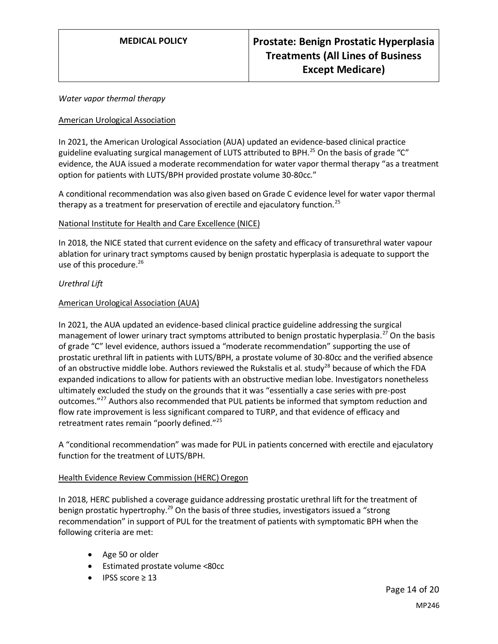#### *Water vapor thermal therapy*

#### <span id="page-13-0"></span>American Urological Association

In 2021, the American Urological Association (AUA) updated an evidence-based clinical practice guideline evaluating surgical management of LUTS attributed to BPH.<sup>25</sup> On the basis of grade "C" evidence, the AUA issued a moderate recommendation for water vapor thermal therapy "as a treatment option for patients with LUTS/BPH provided prostate volume 30-80cc."

A conditional recommendation was also given based on Grade C evidence level for water vapor thermal therapy as a treatment for preservation of erectile and ejaculatory function.<sup>25</sup>

### National Institute for Health and Care Excellence (NICE)

In 2018, the NICE stated that current evidence on the safety and efficacy of transurethral water vapour ablation for urinary tract symptoms caused by benign prostatic hyperplasia is adequate to support the use of this procedure. 26

### *Urethral Lift*

### American Urological Association (AUA)

In 2021, the AUA updated an evidence-based clinical practice guideline addressing the surgical management of lower urinary tract symptoms attributed to benign prostatic hyperplasia.<sup>27</sup> On the basis of grade "C" level evidence, authors issued a "moderate recommendation" supporting the use of prostatic urethral lift in patients with LUTS/BPH, a prostate volume of 30-80cc and the verified absence of an obstructive middle lobe. Authors reviewed the Rukstalis et al. study<sup>28</sup> because of which the FDA expanded indications to allow for patients with an obstructive median lobe. Investigators nonetheless ultimately excluded the study on the grounds that it was "essentially a case series with pre-post outcomes."<sup>27</sup> Authors also recommended that PUL patients be informed that symptom reduction and flow rate improvement is less significant compared to TURP, and that evidence of efficacy and retreatment rates remain "poorly defined."<sup>25</sup>

A "conditional recommendation" was made for PUL in patients concerned with erectile and ejaculatory function for the treatment of LUTS/BPH.

#### Health Evidence Review Commission (HERC) Oregon

In 2018, HERC published a coverage guidance addressing prostatic urethral lift for the treatment of benign prostatic hypertrophy.<sup>29</sup> On the basis of three studies, investigators issued a "strong recommendation" in support of PUL for the treatment of patients with symptomatic BPH when the following criteria are met:

- Age 50 or older
- Estimated prostate volume <80cc
- IPSS score ≥ 13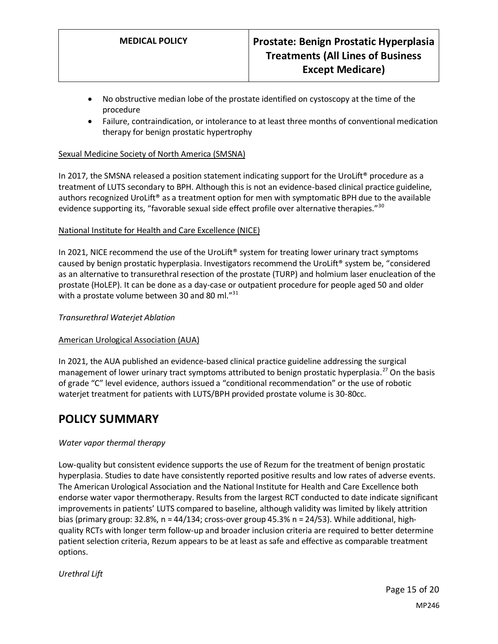- No obstructive median lobe of the prostate identified on cystoscopy at the time of the procedure
- Failure, contraindication, or intolerance to at least three months of conventional medication therapy for benign prostatic hypertrophy

### Sexual Medicine Society of North America (SMSNA)

In 2017, the SMSNA released a position statement indicating support for the UroLift<sup>®</sup> procedure as a treatment of LUTS secondary to BPH. Although this is not an evidence-based clinical practice guideline, authors recognized UroLift® as a treatment option for men with symptomatic BPH due to the available evidence supporting its, "favorable sexual side effect profile over alternative therapies."<sup>30</sup>

### National Institute for Health and Care Excellence (NICE)

In 2021, NICE recommend the use of the UroLift<sup>®</sup> system for treating lower urinary tract symptoms caused by benign prostatic hyperplasia. Investigators recommend the UroLift® system be, "considered as an alternative to transurethral resection of the prostate (TURP) and holmium laser enucleation of the prostate (HoLEP). It can be done as a day-case or outpatient procedure for people aged 50 and older with a prostate volume between 30 and 80 ml."<sup>31</sup>

#### *Transurethral Waterjet Ablation*

#### American Urological Association (AUA)

In 2021, the AUA published an evidence-based clinical practice guideline addressing the surgical management of lower urinary tract symptoms attributed to benign prostatic hyperplasia.<sup>27</sup> On the basis of grade "C" level evidence, authors issued a "conditional recommendation" or the use of robotic waterjet treatment for patients with LUTS/BPH provided prostate volume is 30-80cc.

# **POLICY SUMMARY**

#### *Water vapor thermal therapy*

Low-quality but consistent evidence supports the use of Rezum for the treatment of benign prostatic hyperplasia. Studies to date have consistently reported positive results and low rates of adverse events. The American Urological Association and the National Institute for Health and Care Excellence both endorse water vapor thermotherapy. Results from the largest RCT conducted to date indicate significant improvements in patients' LUTS compared to baseline, although validity was limited by likely attrition bias (primary group: 32.8%,  $n = 44/134$ ; cross-over group 45.3%  $n = 24/53$ ). While additional, highquality RCTs with longer term follow-up and broader inclusion criteria are required to better determine patient selection criteria, Rezum appears to be at least as safe and effective as comparable treatment options.

#### *Urethral Lift*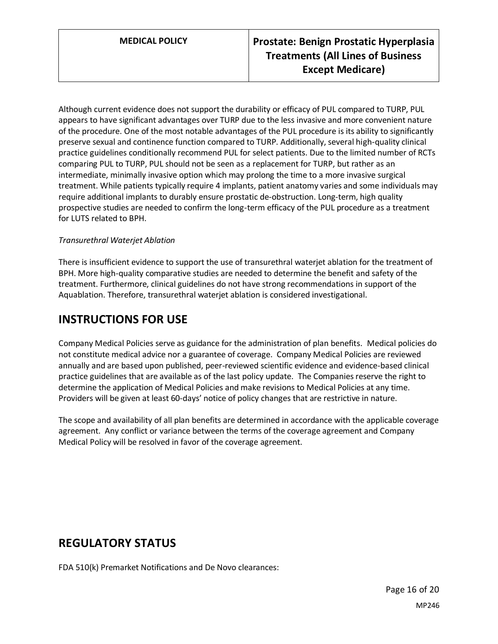Although current evidence does not support the durability or efficacy of PUL compared to TURP, PUL appears to have significant advantages over TURP due to the less invasive and more convenient nature of the procedure. One of the most notable advantages of the PUL procedure is its ability to significantly preserve sexual and continence function compared to TURP. Additionally, several high-quality clinical practice guidelines conditionally recommend PUL for select patients. Due to the limited number of RCTs comparing PUL to TURP, PUL should not be seen as a replacement for TURP, but rather as an intermediate, minimally invasive option which may prolong the time to a more invasive surgical treatment. While patients typically require 4 implants, patient anatomy varies and some individuals may require additional implants to durably ensure prostatic de-obstruction. Long-term, high quality prospective studies are needed to confirm the long-term efficacy of the PUL procedure as a treatment for LUTS related to BPH.

### *Transurethral Waterjet Ablation*

There is insufficient evidence to support the use of transurethral waterjet ablation for the treatment of BPH. More high-quality comparative studies are needed to determine the benefit and safety of the treatment. Furthermore, clinical guidelines do not have strong recommendations in support of the Aquablation. Therefore, transurethral waterjet ablation is considered investigational.

# **INSTRUCTIONS FOR USE**

Company Medical Policies serve as guidance for the administration of plan benefits. Medical policies do not constitute medical advice nor a guarantee of coverage. Company Medical Policies are reviewed annually and are based upon published, peer-reviewed scientific evidence and evidence-based clinical practice guidelines that are available as of the last policy update. The Companies reserve the right to determine the application of Medical Policies and make revisions to Medical Policies at any time. Providers will be given at least 60-days' notice of policy changes that are restrictive in nature.

The scope and availability of all plan benefits are determined in accordance with the applicable coverage agreement. Any conflict or variance between the terms of the coverage agreement and Company Medical Policy will be resolved in favor of the coverage agreement.

# **REGULATORY STATUS**

FDA 510(k) Premarket Notifications and De Novo clearances: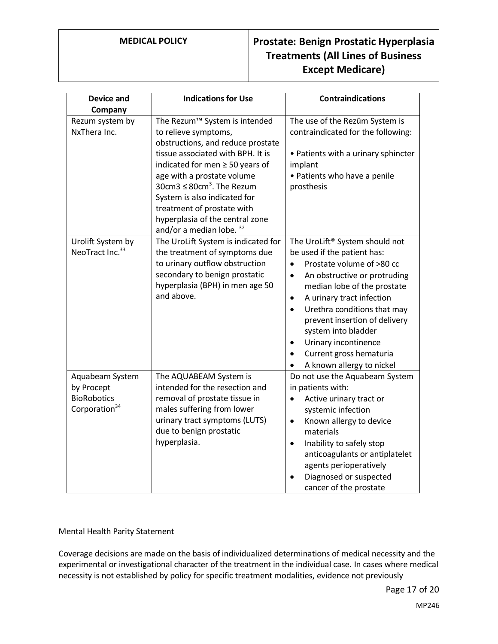| <b>Device and</b>                                                                | <b>Indications for Use</b>                                                                                                                                                                                                                                                                                                                                      | <b>Contraindications</b>                                                                                                                                                                                                                                                                                                                                                                                                            |
|----------------------------------------------------------------------------------|-----------------------------------------------------------------------------------------------------------------------------------------------------------------------------------------------------------------------------------------------------------------------------------------------------------------------------------------------------------------|-------------------------------------------------------------------------------------------------------------------------------------------------------------------------------------------------------------------------------------------------------------------------------------------------------------------------------------------------------------------------------------------------------------------------------------|
| Company                                                                          |                                                                                                                                                                                                                                                                                                                                                                 |                                                                                                                                                                                                                                                                                                                                                                                                                                     |
| Rezum system by<br>NxThera Inc.                                                  | The Rezum™ System is intended<br>to relieve symptoms,<br>obstructions, and reduce prostate<br>tissue associated with BPH. It is<br>indicated for men ≥ 50 years of<br>age with a prostate volume<br>$30cm3 \leq 80cm3$ . The Rezum<br>System is also indicated for<br>treatment of prostate with<br>hyperplasia of the central zone<br>and/or a median lobe. 32 | The use of the Rezūm System is<br>contraindicated for the following:<br>• Patients with a urinary sphincter<br>implant<br>• Patients who have a penile<br>prosthesis                                                                                                                                                                                                                                                                |
| Urolift System by<br>NeoTract Inc. <sup>33</sup>                                 | The UroLift System is indicated for<br>the treatment of symptoms due<br>to urinary outflow obstruction<br>secondary to benign prostatic<br>hyperplasia (BPH) in men age 50<br>and above.                                                                                                                                                                        | The UroLift® System should not<br>be used if the patient has:<br>Prostate volume of >80 cc<br>$\bullet$<br>An obstructive or protruding<br>$\bullet$<br>median lobe of the prostate<br>A urinary tract infection<br>$\bullet$<br>Urethra conditions that may<br>$\bullet$<br>prevent insertion of delivery<br>system into bladder<br>Urinary incontinence<br>$\bullet$<br>Current gross hematuria<br>٠<br>A known allergy to nickel |
| Aquabeam System<br>by Procept<br><b>BioRobotics</b><br>Corporation <sup>34</sup> | The AQUABEAM System is<br>intended for the resection and<br>removal of prostate tissue in<br>males suffering from lower<br>urinary tract symptoms (LUTS)<br>due to benign prostatic<br>hyperplasia.                                                                                                                                                             | Do not use the Aquabeam System<br>in patients with:<br>Active urinary tract or<br>$\bullet$<br>systemic infection<br>Known allergy to device<br>$\bullet$<br>materials<br>Inability to safely stop<br>$\bullet$<br>anticoagulants or antiplatelet<br>agents perioperatively<br>Diagnosed or suspected<br>cancer of the prostate                                                                                                     |

#### Mental Health Parity Statement

Coverage decisions are made on the basis of individualized determinations of medical necessity and the experimental or investigational character of the treatment in the individual case. In cases where medical necessity is not established by policy for specific treatment modalities, evidence not previously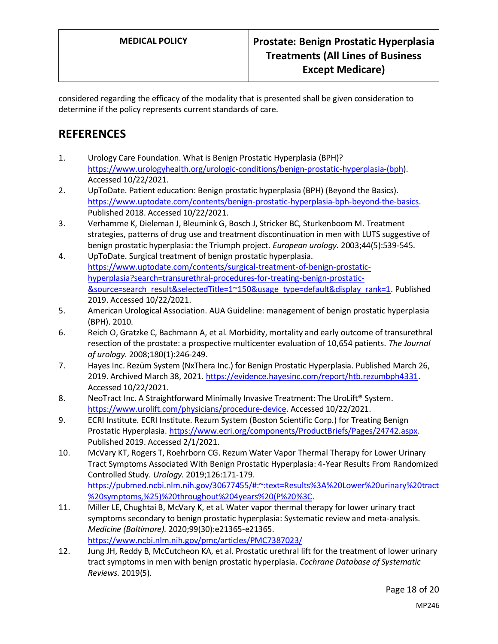considered regarding the efficacy of the modality that is presented shall be given consideration to determine if the policy represents current standards of care.

# **REFERENCES**

- 1. Urology Care Foundation. What is Benign Prostatic Hyperplasia (BPH)? [https://www.urologyhealth.org/urologic-conditions/benign-prostatic-hyperplasia-\(bph\)](https://www.urologyhealth.org/urologic-conditions/benign-prostatic-hyperplasia-(bph). Accessed 10/22/2021.
- 2. UpToDate. Patient education: Benign prostatic hyperplasia (BPH) (Beyond the Basics). [https://www.uptodate.com/contents/benign-prostatic-hyperplasia-bph-beyond-the-basics.](https://www.uptodate.com/contents/benign-prostatic-hyperplasia-bph-beyond-the-basics) Published 2018. Accessed 10/22/2021.
- 3. Verhamme K, Dieleman J, Bleumink G, Bosch J, Stricker BC, Sturkenboom M. Treatment strategies, patterns of drug use and treatment discontinuation in men with LUTS suggestive of benign prostatic hyperplasia: the Triumph project. *European urology.* 2003;44(5):539-545.
- 4. UpToDate. Surgical treatment of benign prostatic hyperplasia. [https://www.uptodate.com/contents/surgical-treatment-of-benign-prostatic](https://www.uptodate.com/contents/surgical-treatment-of-benign-prostatic-hyperplasia?search=transurethral-procedures-for-treating-benign-prostatic-&source=search_result&selectedTitle=1~150&usage_type=default&display_rank=1)[hyperplasia?search=transurethral-procedures-for-treating-benign-prostatic-](https://www.uptodate.com/contents/surgical-treatment-of-benign-prostatic-hyperplasia?search=transurethral-procedures-for-treating-benign-prostatic-&source=search_result&selectedTitle=1~150&usage_type=default&display_rank=1) [&source=search\\_result&selectedTitle=1~150&usage\\_type=default&display\\_rank=1.](https://www.uptodate.com/contents/surgical-treatment-of-benign-prostatic-hyperplasia?search=transurethral-procedures-for-treating-benign-prostatic-&source=search_result&selectedTitle=1~150&usage_type=default&display_rank=1) Published 2019. Accessed 10/22/2021.
- 5. American Urological Association. AUA Guideline: management of benign prostatic hyperplasia (BPH). 2010.
- 6. Reich O, Gratzke C, Bachmann A, et al. Morbidity, mortality and early outcome of transurethral resection of the prostate: a prospective multicenter evaluation of 10,654 patients. *The Journal of urology.* 2008;180(1):246-249.
- 7. Hayes Inc. Rezūm System (NxThera Inc.) for Benign Prostatic Hyperplasia. Published March 26, 2019. Archived March 38, 2021. [https://evidence.hayesinc.com/report/htb.rezumbph4331.](https://evidence.hayesinc.com/report/htb.rezumbph4331) Accessed 10/22/2021.
- 8. NeoTract Inc. A Straightforward Minimally Invasive Treatment: The UroLift® System. [https://www.urolift.com/physicians/procedure-device.](https://www.urolift.com/physicians/procedure-device) Accessed 10/22/2021.
- 9. ECRI Institute. ECRI Institute. Rezum System (Boston Scientific Corp.) for Treating Benign Prostatic Hyperplasia. [https://www.ecri.org/components/ProductBriefs/Pages/24742.aspx.](https://www.ecri.org/components/ProductBriefs/Pages/24742.aspx) Published 2019. Accessed 2/1/2021.
- 10. McVary KT, Rogers T, Roehrborn CG. Rezum Water Vapor Thermal Therapy for Lower Urinary Tract Symptoms Associated With Benign Prostatic Hyperplasia: 4-Year Results From Randomized Controlled Study. *Urology.* 2019;126:171-179. [https://pubmed.ncbi.nlm.nih.gov/30677455/#:~:text=Results%3A%20Lower%20urinary%20tract](https://pubmed.ncbi.nlm.nih.gov/30677455/#:~:text=Results%3A%20Lower%20urinary%20tract%20symptoms,%25)%20throughout%204years%20(P%20%3C) [%20symptoms,%25\)%20throughout%204years%20\(P%20%3C.](https://pubmed.ncbi.nlm.nih.gov/30677455/#:~:text=Results%3A%20Lower%20urinary%20tract%20symptoms,%25)%20throughout%204years%20(P%20%3C)
- 11. Miller LE, Chughtai B, McVary K, et al. Water vapor thermal therapy for lower urinary tract symptoms secondary to benign prostatic hyperplasia: Systematic review and meta-analysis. *Medicine (Baltimore).* 2020;99(30):e21365-e21365. <https://www.ncbi.nlm.nih.gov/pmc/articles/PMC7387023/>
- 12. Jung JH, Reddy B, McCutcheon KA, et al. Prostatic urethral lift for the treatment of lower urinary tract symptoms in men with benign prostatic hyperplasia. *Cochrane Database of Systematic Reviews.* 2019(5).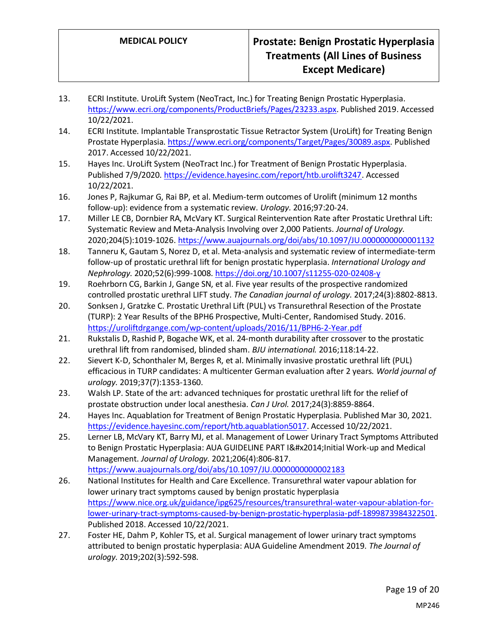- 13. ECRI Institute. UroLift System (NeoTract, Inc.) for Treating Benign Prostatic Hyperplasia. [https://www.ecri.org/components/ProductBriefs/Pages/23233.aspx.](https://www.ecri.org/components/ProductBriefs/Pages/23233.aspx) Published 2019. Accessed 10/22/2021.
- 14. ECRI Institute. Implantable Transprostatic Tissue Retractor System (UroLift) for Treating Benign Prostate Hyperplasia. [https://www.ecri.org/components/Target/Pages/30089.aspx.](https://www.ecri.org/components/Target/Pages/30089.aspx) Published 2017. Accessed 10/22/2021.
- 15. Hayes Inc. UroLift System (NeoTract Inc.) for Treatment of Benign Prostatic Hyperplasia. Published 7/9/2020[. https://evidence.hayesinc.com/report/htb.urolift3247.](https://evidence.hayesinc.com/report/htb.urolift3247) Accessed 10/22/2021.
- 16. Jones P, Rajkumar G, Rai BP, et al. Medium-term outcomes of Urolift (minimum 12 months follow-up): evidence from a systematic review. *Urology.* 2016;97:20-24.
- 17. Miller LE CB, Dornbier RA, McVary KT. Surgical Reintervention Rate after Prostatic Urethral Lift: Systematic Review and Meta-Analysis Involving over 2,000 Patients. *Journal of Urology.*  2020;204(5):1019-1026[. https://www.auajournals.org/doi/abs/10.1097/JU.0000000000001132](https://www.auajournals.org/doi/abs/10.1097/JU.0000000000001132)
- 18. Tanneru K, Gautam S, Norez D, et al. Meta-analysis and systematic review of intermediate-term follow-up of prostatic urethral lift for benign prostatic hyperplasia. *International Urology and Nephrology.* 2020;52(6):999-1008[. https://doi.org/10.1007/s11255-020-02408-y](https://doi.org/10.1007/s11255-020-02408-y)
- 19. Roehrborn CG, Barkin J, Gange SN, et al. Five year results of the prospective randomized controlled prostatic urethral LIFT study. *The Canadian journal of urology.* 2017;24(3):8802-8813.
- 20. Sonksen J, Gratzke C. Prostatic Urethral Lift (PUL) vs Transurethral Resection of the Prostate (TURP): 2 Year Results of the BPH6 Prospective, Multi-Center, Randomised Study. 2016. <https://uroliftdrgange.com/wp-content/uploads/2016/11/BPH6-2-Year.pdf>
- 21. Rukstalis D, Rashid P, Bogache WK, et al. 24‐month durability after crossover to the prostatic urethral lift from randomised, blinded sham. *BJU international.* 2016;118:14-22.
- 22. Sievert K-D, Schonthaler M, Berges R, et al. Minimally invasive prostatic urethral lift (PUL) efficacious in TURP candidates: A multicenter German evaluation after 2 years. *World journal of urology.* 2019;37(7):1353-1360.
- 23. Walsh LP. State of the art: advanced techniques for prostatic urethral lift for the relief of prostate obstruction under local anesthesia. *Can J Urol.* 2017;24(3):8859-8864.
- 24. Hayes Inc. Aquablation for Treatment of Benign Prostatic Hyperplasia. Published Mar 30, 2021. [https://evidence.hayesinc.com/report/htb.aquablation5017.](https://evidence.hayesinc.com/report/htb.aquablation5017) Accessed 10/22/2021.
- 25. Lerner LB, McVary KT, Barry MJ, et al. Management of Lower Urinary Tract Symptoms Attributed to Benign Prostatic Hyperplasia: AUA GUIDELINE PART I— Initial Work-up and Medical Management. *Journal of Urology.* 2021;206(4):806-817. <https://www.auajournals.org/doi/abs/10.1097/JU.0000000000002183>
- 26. National Institutes for Health and Care Excellence. Transurethral water vapour ablation for lower urinary tract symptoms caused by benign prostatic hyperplasia [https://www.nice.org.uk/guidance/ipg625/resources/transurethral-water-vapour-ablation-for](https://www.nice.org.uk/guidance/ipg625/resources/transurethral-water-vapour-ablation-for-lower-urinary-tract-symptoms-caused-by-benign-prostatic-hyperplasia-pdf-1899873984322501)[lower-urinary-tract-symptoms-caused-by-benign-prostatic-hyperplasia-pdf-1899873984322501.](https://www.nice.org.uk/guidance/ipg625/resources/transurethral-water-vapour-ablation-for-lower-urinary-tract-symptoms-caused-by-benign-prostatic-hyperplasia-pdf-1899873984322501) Published 2018. Accessed 10/22/2021.
- 27. Foster HE, Dahm P, Kohler TS, et al. Surgical management of lower urinary tract symptoms attributed to benign prostatic hyperplasia: AUA Guideline Amendment 2019. *The Journal of urology.* 2019;202(3):592-598.